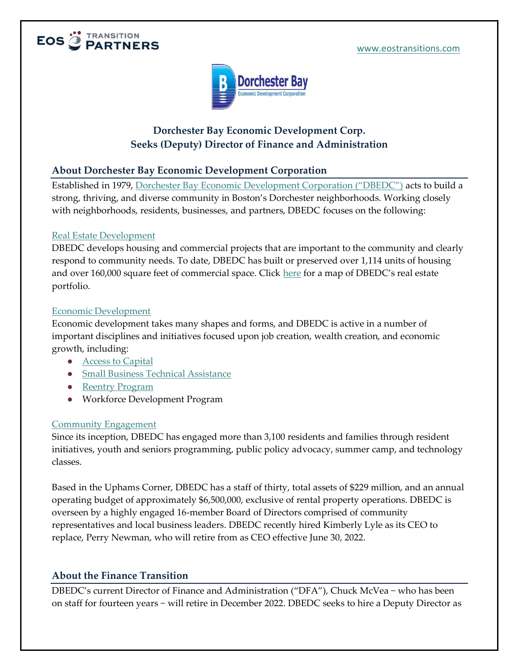



# **Dorchester Bay Economic Development Corp. Seeks (Deputy) Director of Finance and Administration**

### **About Dorchester Bay Economic Development Corporation**

Established in 1979, Dorchester Bay Economic [Development Corporation \("DBEDC"\)](https://www.dbedc.org/) acts to build a strong, thriving, and diverse community in Boston's Dorchester neighborhoods. Working closely with neighborhoods, residents, businesses, and partners, DBEDC focuses on the following:

#### [Real Estate Development](https://www.dbedc.org/real-estate-development/)

DBEDC develops housing and commercial projects that are important to the community and clearly respond to community needs. To date, DBEDC has built or preserved over 1,114 units of housing and over 160,000 square feet of commercial space. Click [here](https://www.dbedc.org/real-estate-development/full-width-map/) for a map of DBEDC's real estate portfolio.

#### [Economic Development](https://www.dbedc.org/economic-development/)

Economic development takes many shapes and forms, and DBEDC is active in a number of important disciplines and initiatives focused upon job creation, wealth creation, and economic growth, including:

- [Access to Capital](https://dorchesterbayloans.org/loan-options/?_ga=2.199437934.1949869127.1639508785-382265846.1638196153)
- [Small Business Technical Assistance](https://dorchesterbayloans.org/technical-assistance/?_ga=2.208218578.1949869127.1639508785-382265846.1638196153)
- [Reentry Program](https://www.dbedc.org/economic-development/reentry-program/)
- Workforce Development Program

#### [Community Engagement](https://www.dbedc.org/community-engagement/)

Since its inception, DBEDC has engaged more than 3,100 residents and families through resident initiatives, youth and seniors programming, public policy advocacy, summer camp, and technology classes.

Based in the Uphams Corner, DBEDC has a staff of thirty, total assets of \$229 million, and an annual operating budget of approximately \$6,500,000, exclusive of rental property operations. DBEDC is overseen by a highly engaged 16-member Board of Directors comprised of community representatives and local business leaders. DBEDC recently hired Kimberly Lyle as its CEO to replace, Perry Newman, who will retire from as CEO effective June 30, 2022.

# **About the Finance Transition**

DBEDC's current Director of Finance and Administration ("DFA"), Chuck McVea – who has been on staff for fourteen years − will retire in December 2022. DBEDC seeks to hire a Deputy Director as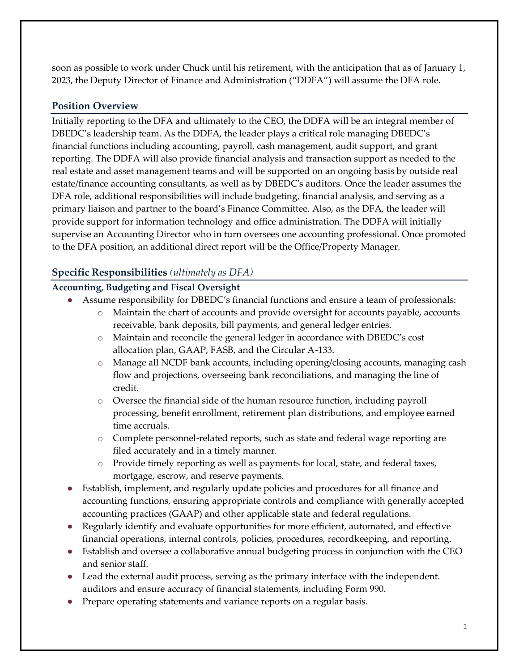soon as possible to work under Chuck until his retirement, with the anticipation that as of January 1, 2023, the Deputy Director of Finance and Administration ("DDFA") will assume the DFA role.

# **Position Overview**

Initially reporting to the DFA and ultimately to the CEO, the DDFA will be an integral member of DBEDC's leadership team. As the DDFA, the leader plays a critical role managing DBEDC's financial functions including accounting, payroll, cash management, audit support, and grant reporting. The DDFA will also provide financial analysis and transaction support as needed to the real estate and asset management teams and will be supported on an ongoing basis by outside real estate/finance accounting consultants, as well as by DBEDC's auditors. Once the leader assumes the DFA role, additional responsibilities will include budgeting, financial analysis, and serving as a primary liaison and partner to the board's Finance Committee. Also, as the DFA, the leader will provide support for information technology and office administration. The DDFA will initially supervise an Accounting Director who in turn oversees one accounting professional. Once promoted to the DFA position, an additional direct report will be the Office/Property Manager.

# **Specific Responsibilities** *(ultimately as DFA)*

### **Accounting, Budgeting and Fiscal Oversight**

- Assume responsibility for DBEDC's financial functions and ensure a team of professionals:
	- o Maintain the chart of accounts and provide oversight for accounts payable, accounts receivable, bank deposits, bill payments, and general ledger entries.
	- o Maintain and reconcile the general ledger in accordance with DBEDC's cost allocation plan, GAAP, FASB, and the Circular A-133.
	- o Manage all NCDF bank accounts, including opening/closing accounts, managing cash flow and projections, overseeing bank reconciliations, and managing the line of credit.
	- o Oversee the financial side of the human resource function, including payroll processing, benefit enrollment, retirement plan distributions, and employee earned time accruals.
	- o Complete personnel-related reports, such as state and federal wage reporting are filed accurately and in a timely manner.
	- o Provide timely reporting as well as payments for local, state, and federal taxes, mortgage, escrow, and reserve payments.
- Establish, implement, and regularly update policies and procedures for all finance and accounting functions, ensuring appropriate controls and compliance with generally accepted accounting practices (GAAP) and other applicable state and federal regulations.
- Regularly identify and evaluate opportunities for more efficient, automated, and effective financial operations, internal controls, policies, procedures, recordkeeping, and reporting.
- Establish and oversee a collaborative annual budgeting process in conjunction with the CEO and senior staff.
- Lead the external audit process, serving as the primary interface with the independent. auditors and ensure accuracy of financial statements, including Form 990.
- Prepare operating statements and variance reports on a regular basis.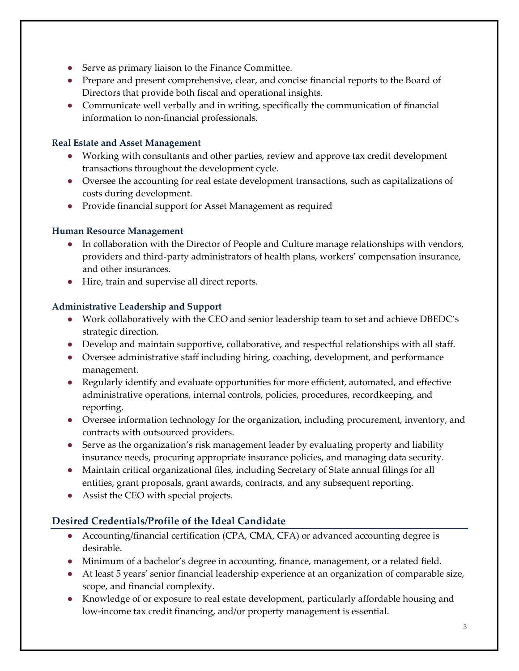- Serve as primary liaison to the Finance Committee.
- Prepare and present comprehensive, clear, and concise financial reports to the Board of Directors that provide both fiscal and operational insights.
- Communicate well verbally and in writing, specifically the communication of financial information to non-financial professionals.

#### **Real Estate and Asset Management**

- Working with consultants and other parties, review and approve tax credit development transactions throughout the development cycle.
- Oversee the accounting for real estate development transactions, such as capitalizations of costs during development.
- Provide financial support for Asset Management as required

#### **Human Resource Management**

- In collaboration with the Director of People and Culture manage relationships with vendors, providers and third-party administrators of health plans, workers' compensation insurance, and other insurances.
- Hire, train and supervise all direct reports.

#### **Administrative Leadership and Support**

- Work collaboratively with the CEO and senior leadership team to set and achieve DBEDC's strategic direction.
- Develop and maintain supportive, collaborative, and respectful relationships with all staff.
- Oversee administrative staff including hiring, coaching, development, and performance management.
- Regularly identify and evaluate opportunities for more efficient, automated, and effective administrative operations, internal controls, policies, procedures, recordkeeping, and reporting.
- Oversee information technology for the organization, including procurement, inventory, and contracts with outsourced providers.
- Serve as the organization's risk management leader by evaluating property and liability insurance needs, procuring appropriate insurance policies, and managing data security.
- Maintain critical organizational files, including Secretary of State annual filings for all entities, grant proposals, grant awards, contracts, and any subsequent reporting.
- Assist the CEO with special projects.

# **Desired Credentials/Profile of the Ideal Candidate**

- Accounting/financial certification (CPA, CMA, CFA) or advanced accounting degree is desirable.
- Minimum of a bachelor's degree in accounting, finance, management, or a related field.
- At least 5 years' senior financial leadership experience at an organization of comparable size, scope, and financial complexity.
- Knowledge of or exposure to real estate development, particularly affordable housing and low-income tax credit financing, and/or property management is essential.